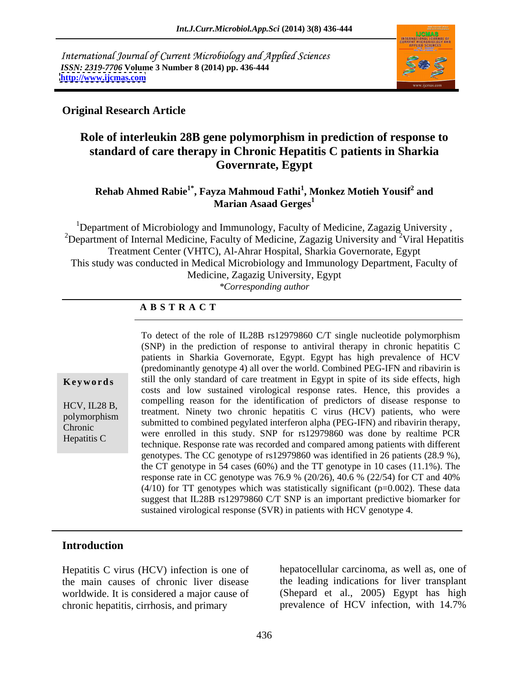International Journal of Current Microbiology and Applied Sciences *ISSN: 2319-7706* **Volume 3 Number 8 (2014) pp. 436-444 <http://www.ijcmas.com>**



# **Original Research Article**

# **Role of interleukin 28B gene polymorphism in prediction of response to standard of care therapy in Chronic Hepatitis C patients in Sharkia Governrate, Egypt**

### **Rehab Ahmed Rabie1\* , Fayza Mahmoud Fathi<sup>1</sup> , Monkez Motieh Yousif<sup>2</sup> and Marian Asaad Gerges<sup>1</sup>**

<sup>1</sup>Department of Microbiology and Immunology, Faculty of Medicine, Zagazig University, <sup>2</sup>Department of Internal Medicine, Faculty of Medicine, Zagazig University and <sup>2</sup>Viral Hepatitis Treatment Center (VHTC), Al-Ahrar Hospital, Sharkia Governorate, Egypt This study was conducted in Medical Microbiology and Immunology Department, Faculty of Medicine, Zagazig University, Egypt *\*Corresponding author* 

## **A B S T R A C T**

**Keywords** still the only standard of care treatment in Egypt in spite of its side effects, high HCV, IL28 B,<br>
treatment. Ninety two chronic hepatitis C virus (HCV) patients, who were polymorphism<br>
submitted to combined pegylated interferon alpha (PEG-IFN) and ribavirin therapy, Chronic Submitted to combined pegyated interferon applicated to EQ-IPTY and Hoavinn therapy, Hepatitis C were enrolled in this study. SNP for rs12979860 was done by realtime PCR To detect of the role of IL28B rs12979860 C/T single nucleotide polymorphism (SNP) in the prediction of response to antiviral therapy in chronic hepatitis C patients in Sharkia Governorate, Egypt. Egypt has high prevalence of HCV (predominantly genotype 4) all over the world. Combined PEG-IFN and ribavirin is costs and low sustained virological response rates. Hence, this provides a compelling reason for the identification of predictors of disease response to technique. Response rate was recorded and compared among patients with different genotypes. The CC genotype of rs12979860 was identified in 26 patients (28.9 %), the CT genotype in 54 cases (60%) and the TT genotype in 10 cases (11.1%). The response rate in CC genotype was 76.9 % (20/26), 40.6 % (22/54) for CT and 40%  $(4/10)$  for TT genotypes which was statistically significant (p=0.002). These data suggest that IL28B rs12979860 C/T SNP is an important predictive biomarker for sustained virological response (SVR) in patients with HCV genotype 4.

# **Introduction**

Hepatitis C virus (HCV) infection is one of the main causes of chronic liver disease chronic hepatitis, cirrhosis, and primary prevalence of HCV infection, with 14.7%

worldwide. It is considered a major cause of (Shepard et al., 2005) Egypt has high hepatocellular carcinoma, as well as, one of the leading indications for liver transplant prevalence of HCV infection, with 14.7%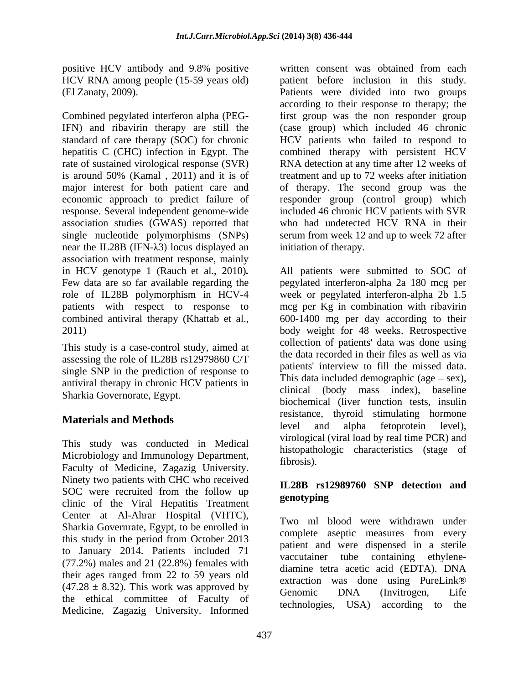positive HCV antibody and 9.8% positive written consent was obtained from each

economic approach to predict failure of association studies (GWAS) reported that single nucleotide polymorphisms (SNPs) near the IL28B (IFN- $\lambda$ 3) locus displayed an association with treatment response, mainly

This study is a case-control study, aimed at assessing the role of IL28B rs12979860 C/T single SNP in the prediction of response to antiviral therapy in chronic HCV patients in Sharkia Governorate, Egypt.

This study was conducted in Medical Microbiology and Immunology Department, fibrosis). Faculty of Medicine, Zagazig University. Ninety two patients with CHC who received  $\text{SOC}$  were recruited from the follow up  $\text{genotyping}$ clinic of the Viral Hepatitis Treatment Center at Al-Ahrar Hospital (VHTC), Sharkia Governrate, Egypt, to be enrolled in this study in the period from October 2013 to January 2014. Patients included 71 (77.2%) males and 21 (22.8%) females with their ages ranged from 22 to 59 years old<br>extraction was done using PureLink® (47.28 *±* 8.32). This work was approved by the ethical committee of Faculty of Medicine, Zagazig University. Informed

HCV RNA among people (15-59 years old) patient before inclusion in this study. (El Zanaty, 2009). Patients were divided into two groups Combined pegylated interferon alpha (PEG-first group was the non responder group IFN) and ribavirin therapy are still the (case group) which included 46 chronic standard of care therapy (SOC) for chronic HCV patients who failed to respond to hepatitis C (CHC) infection in Egypt. The combined therapy with persistent HCV rate of sustained virological response (SVR) RNA detection at any time after 12 weeks of is around 50% (Kamal , 2011) and it is of treatment and up to 72 weeks after initiation major interest for both patient care and of therapy. The second group was the response. Several independent genome-wide included 46 chronic HCV patients with SVR according to their response to therapy; the responder group (control group) which who had undetected HCV RNA in their serum from week 12 and up to week 72 after initiation of therapy.

in HCV genotype 1 (Rauch et al., 2010)*.* All patients were submitted to SOC of Few data are so far available regarding the pegylated interferon-alpha 2a 180 mcg per role of IL28B polymorphism in HCV-4 week or pegylated interferon-alpha 2b 1.5 patients with respect to response to mcg per Kg in combination with ribavirin combined antiviral therapy (Khattab et al., 600-1400 mg per day according to their 2011) body weight for 48 weeks. Retrospective **Materials and Methods Existence**, and alpha fetoprotein level, collection of patients' data was done using the data recorded in their files as well as via patients' interview to fill the missed data. This data included demographic (age  $-$  sex), clinical (body mass index), baseline biochemical (liver function tests, insulin resistance, thyroid stimulating hormone level and alpha fetoprotein level), virological (viral load by real time PCR) and histopathologic characteristics (stage of fibrosis)

# **IL28B rs12989760 SNP detection and genotyping**

Two ml blood were withdrawn under complete aseptic measures from every patient and were dispensed in a sterile vaccutainer tube containing ethylene diamine tetra acetic acid (EDTA). DNA extraction was done using PureLink® Genomic DNA (Invitrogen, Life technologies, USA) according to the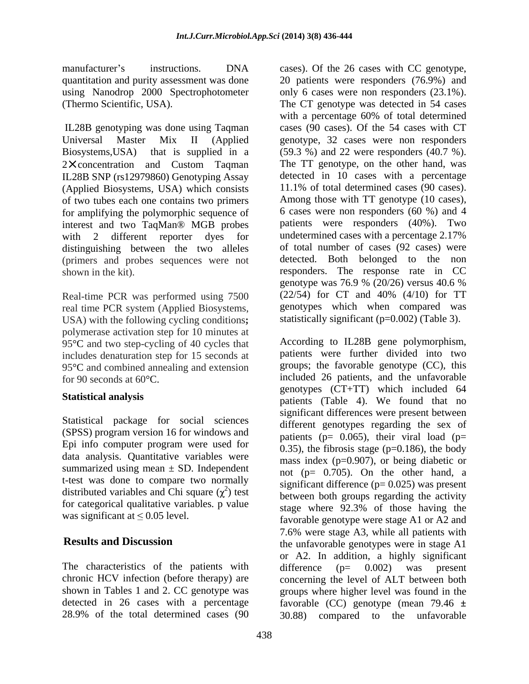using Nanodrop 2000 Spectrophotometer

IL28B genotyping was done using Taqman 2 X concentration and Custom Taqman IL28B SNP (rs12979860) Genotyping Assay (Applied Biosystems, USA) which consists of two tubes each one contains two primers for amplifying the polymorphic sequence of interest and two TaqMan® MGB probes distinguishing between the two alleles (primers and probes sequences were not

Real-time PCR was performed using 7500 real time PCR system (Applied Biosystems, USA) with the following cycling conditions**;**  polymerase activation step for 10 minutes at 95°C and two step-cycling of 40 cycles that includes denaturation step for 15 seconds at 95°C and combined annealing and extension

Statistical package for social sciences (SPSS) program version 16 for windows and Epi info computer program were used for data analysis. Quantitative variables were summarized using mean  $\pm$  SD. Independent t-test was done to compare two normally distributed variables and Chi square  $(\chi^2)$  test for categorical qualitative variables. p value

The characteristics of the patients with difference  $(p= 0.002)$  was present

manufacturer's instructions. DNA cases). Of the 26 cases with CC genotype, quantitation and purity assessment was done 20 patients were responders (76.9%) and (Thermo Scientific, USA). The CT genotype was detected in 54 cases Universal Master Mix II (Applied genotype, 32 cases were non responders Biosystems,USA) that is supplied in a (59.3 %) and 22 were responders (40.7 %). with 2 different reporter dyes for undetermined cases with a percentage 2.17% shown in the kit). The responders. The response rate in CC only 6 cases were non responders (23.1%). with a percentage 60% of total determined cases (90 cases). Of the 54 cases with CT The TT genotype, on the other hand, was detected in 10 cases with a percentage 11.1% of total determined cases (90 cases). Among those with TT genotype (10 cases), 6 cases were non responders (60 %) and 4 patients were responders (40%). Two of total number of cases (92 cases) were detected. Both belonged to the genotype was 76.9 % (20/26) versus 40.6 % (22/54) for CT and 40% (4/10) for TT genotypes which when compared was statistically significant (p=0.002) (Table 3).

for 90 seconds at 60°C. included 26 patients, and the unfavorable **Statistical analysis**<br>
patients (Table 4). We found that no ) test between both groups regarding the activity was significant at  $\leq 0.05$  level.<br>favorable genotype were stage A1 or A2 and **Results and Discussion** the unfavorable genotypes were in stage A1 chronic HCV infection (before therapy) are concerning the level of ALT between both shown in Tables 1 and 2. CC genotype was groups where higher level was found in the detected in 26 cases with a percentage favorable (CC) genotype (mean 79.46 **±**  28.9% of the total determined cases (90 30.88) compared to the unfavorableAccording to IL28B gene polymorphism, patients were further divided into two groups; the favorable genotype (CC), this genotypes (CT+TT) which included 64 significant differences were present between different genotypes regarding the sex of patients ( $p= 0.065$ ), their viral load ( $p=$ 0.35), the fibrosis stage ( $p=0.186$ ), the body mass index (p=0.907), or being diabetic or not (p= 0.705). On the other hand, a significant difference  $(p= 0.025)$  was present stage where 92.3% of those having the 7.6% were stage A3, while all patients with or A2. In addition, a highly significant difference (p= 0.002) was present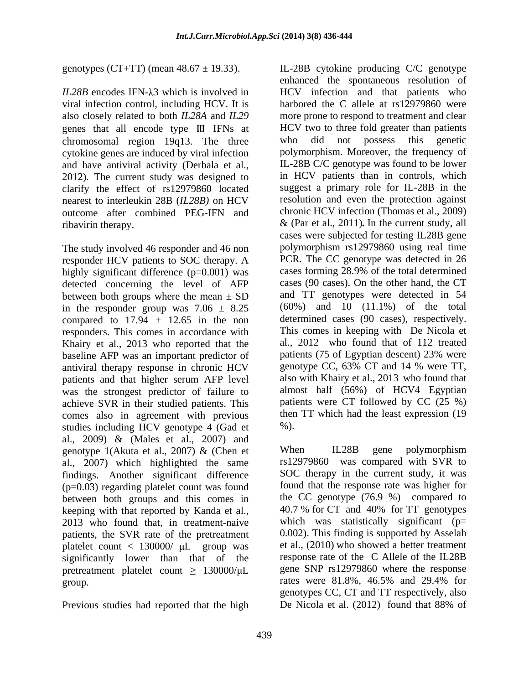genotypes (CT+TT) (mean 48.67 **±** 19.33). IL-28B cytokine producing C/C genotype

genes that all encode type III IFNs at chromosomal region 19q13. The three cytokine genes are induced by viral infection and have antiviral activity (Derbala et al., 2012). The current study was designed to clarify the effect of rs12979860 located nearest to interleukin 28B (*IL28B)* on HCV outcome after combined PEG-IFN and

The study involved 46 responder and 46 non responder HCV patients to SOC therapy. A highly significant difference (p=0.001) was detected concerning the level of AFP between both groups where the mean  $\pm$  SD in the responder group was  $7.06 \pm 8.25$ compared to  $17.94 \pm 12.65$  in the non responders. This comes in accordance with Khairy et al., 2013 who reported that the baseline AFP was an important predictor of antiviral therapy response in chronic HCV patients and that higher serum AFP level was the strongest predictor of failure to achieve SVR in their studied patients. This comes also in agreement with previous studies including HCV genotype 4 (Gad et  $\%$ ). al., 2009) & (Males et al., 2007) and genotype 1(Akuta et al., 2007) & (Chen et When IL28B gene polymorphism al., 2007) which highlighted the same findings. Another significant difference (p=0.03) regarding platelet count was found between both groups and this comes in the CC genotype (76.9 %) compared to keeping with that reported by Kanda et al. 40.7 % for CT and 40% for TT genotypes keeping with that reported by Kanda et al., 2013 who found that, in treatment-naive patients, the SVR rate of the pretreatment platelet count  $<$  130000/  $\mu$ L group was significantly lower than that of the pretreatment platelet count  $\geq 130000/\mu L$ group. The rates were 81.8%, 46.5% and 29.4% for

Previous studies had reported that the high De Nicola et al. (2012) found that 88% of

*IL28B* encodes IFN- $\lambda$ 3 which is involved in HCV infection and that patients who viral infection control, including HCV. It is harbored the C allele at rs12979860 were also closely related to both *IL28A* and *IL29*  more prone to respond to treatment and clear ribavirin therapy. & (Par et al., 2011)*.* In the current study, all enhanced the spontaneous resolution of HCV two to three fold greater than patients who did not possess polymorphism. Moreover, the frequency of IL-28B C/C genotype was found to be lower in HCV patients than in controls, which suggest a primary role for IL-28B in the resolution and even the protection against chronic HCV infection (Thomas et al., 2009) cases were subjected for testing IL28B gene polymorphism rs12979860 using real time PCR. The CC genotype was detected in 26 cases forming 28.9% of the total determined cases (90 cases). On the other hand, the CT and TT genotypes were detected in 54 (60%) and 10 (11.1%) of the total determined cases (90 cases), respectively. This comes in keeping with De Nicola et al., 2012 who found that of 112 treated patients (75 of Egyptian descent) 23% were genotype CC, 63% CT and 14 % were TT, also with Khairy et al., 2013 who found that almost half (56%) of HCV4 Egyptian patients were CT followed by CC (25 %) then TT which had the least expression (19 %).

> When IL28B gene polymorphism rs12979860 was compared with SVR to SOC therapy in the current study, it was found that the response rate was higher for the CC genotype (76.9 %) compared to 40.7 % for CT and 40% for TT genotypes which was statistically significant  $(p=$ 0.002). This finding is supported by Asselah et al., (2010) who showed a better treatment response rate of the C Allele of the IL28B gene SNP rs12979860 where the response rates were 81.8%, 46.5% and 29.4% for genotypes CC, CT and TT respectively, also De Nicola et al. (2012) found that 88% of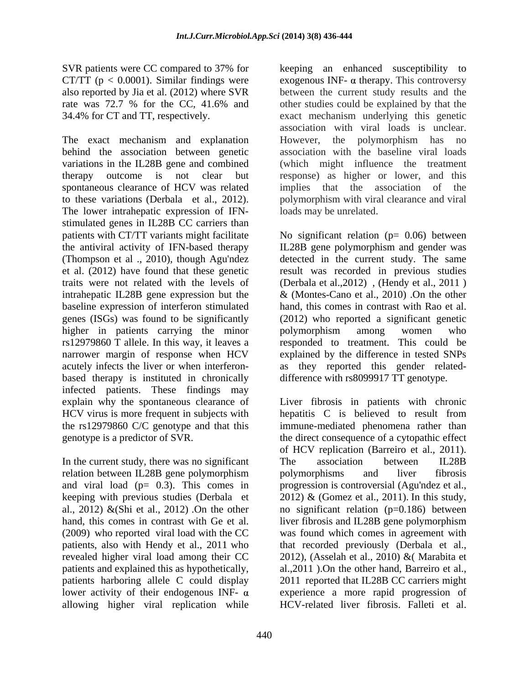The exact mechanism and explanation **However**, the polymorphism has no behind the association between genetic variations in the IL28B gene and combined (which might influence the treatment therapy outcome is not clear but response) as higher or lower, and this spontaneous clearance of HCV was related implies that the association of the to these variations (Derbala et al., 2012). polymorphism with viral clearance and viral<br>The lower intrahepatic expression of IFN-<br>loads may be unrelated. stimulated genes in IL28B CC carriers than higher in patients carrying the minor bolymorphism among women who based therapy is instituted in chronically infected patients. These findings may

In the current study, there was no significant The association between IL28B relation between IL28B gene polymorphism bolymorphisms and liver fibrosis and viral load ( $p= 0.3$ ). This comes in progression is controversial (Agu'ndez et al., keeping with previous studies (Derbala et  $2012$ ) & (Gomez et al., 2011). In this study, (2009) who reported viral load with the CC revealed higher viral load among their CC patients and explained this as hypothetically, allowing higher viral replication while

SVR patients were CC compared to 37% for keeping an enhanced susceptibility to CT/TT ( $p < 0.0001$ ). Similar findings were exogenous INF-  $\alpha$  therapy. This controversy also reported by Jia et al. (2012) where SVR between the current study results and the rate was 72.7 % for the CC, 41.6% and other studies could be explained by that the 34.4% for CT and TT, respectively. exact mechanism underlying this genetic other studies could be explained by that the association with viral loads is unclear. However, the polymorphism has no association with the baseline viral loads implies that the association of the polymorphism with viral clearance and viral loads may be unrelated.

patients with CT/TT variants might facilitate No significant relation (p= 0.06) between the antiviral activity of IFN-based therapy IL28B gene polymorphism and gender was (Thompson et al ., 2010), though Agu'ndez detected in the current study. The same et al. (2012) have found that these genetic result was recorded in previous studies traits were not related with the levels of (Derbala et al.,2012) , (Hendy et al., 2011 ) intrahepatic IL28B gene expression but the & (Montes-Cano et al., 2010) .On the other baseline expression of interferon stimulated hand, this comes in contrast with Rao et al. genes (ISGs) was found to be significantly (2012) who reported a significant genetic rs12979860 T allele. In this way, it leaves a responded to treatment. This could be narrower margin of response when HCV explained by the difference in tested SNPs acutely infects the liver or when interferon- as they reported this gender related polymorphism among women who difference with rs8099917 TT genotype.

explain why the spontaneous clearance of Liver fibrosis in patients with chronic HCV virus is more frequent in subjects with hepatitis C is believed to result from the rs12979860 C/C genotype and that this immune-mediated phenomena rather than genotype is a predictor of SVR. the direct consequence of a cytopathic effect al., 2012) & (Shi et al., 2012) On the other no significant relation ( $p=0.186$ ) between hand, this comes in contrast with Ge et al. liver fibrosis and IL28B gene polymorphism patients, also with Hendy et al., 2011 who that recorded previously (Derbala et al., patients harboring allele C could display 2011 reported that IL28B CC carriers might lower activity of their endogenous INF-  $\alpha$  experience a more rapid progression of of HCV replication (Barreiro et al., 2011). The association between IL28B polymorphisms and liver fibrosis progression is controversial (Agu'ndez et al., 2012) & (Gomez et al., 2011). In this study, was found which comes in agreement with 2012), (Asselah et al., 2010) &( Marabita et al.,2011 ).On the other hand, Barreiro et al., HCV-related liver fibrosis. Falleti et al.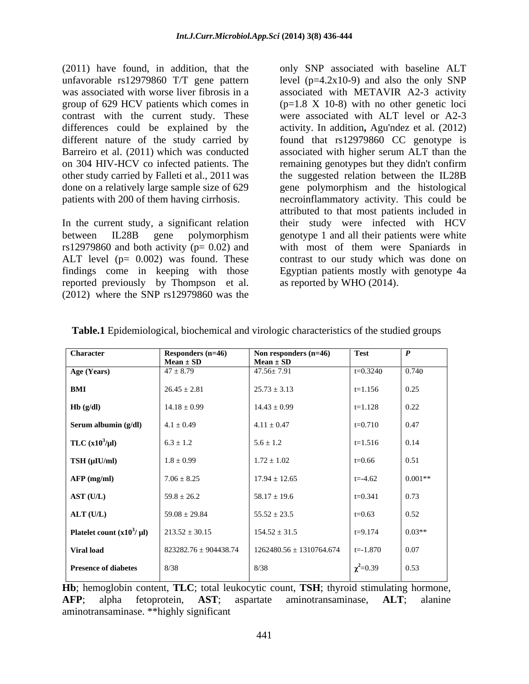differences could be explained by the

In the current study, a significant relation reported previously by Thompson et al. (2012) where the SNP rs12979860 was the

(2011) have found, in addition, that the only SNP associated with baseline ALT unfavorable rs12979860 T/T gene pattern level (p=4.2x10-9) and also the only SNP was associated with worse liver fibrosis in a associated with METAVIR A2-3 activity group of 629 HCV patients which comes in  $(p=1.8 \text{ X } 10-8)$  with no other genetic loci contrast with the current study. These were associated with ALT level or A2-3 different nature of the study carried by found that rs12979860 CC genotype is Barreiro et al. (2011) which was conducted associated with higher serum ALT than the on 304 HIV-HCV co infected patients. The remaining genotypes but they didn't confirm other study carried by Falleti et al., 2011 was the suggested relation between the IL28B done on a relatively large sample size of 629 gene polymorphism and the histological patients with 200 of them having cirrhosis. necroinflammatory activity. This could be between IL28B gene polymorphism genotype 1 and all their patients were white rs12979860 and both activity (p= 0.02) and with most of them were Spaniards in ALT level (p= 0.002) was found. These contrast to our study which was done on findings come in keeping with those Egyptian patients mostly with genotype 4a activity. In addition**,** Agu'ndez et al. (2012) attributed to that most patients included in their study were infected with HCV as reported by WHO (2014).

| Character                      | Responders $(n=46)$<br>$Mean \pm SD$ | Non responders $(n=46)$<br>$Mean \pm SD$ | <b>Test</b>    | l D       |
|--------------------------------|--------------------------------------|------------------------------------------|----------------|-----------|
| Age (Years)                    | $47 \pm 8.79$                        | $47.56 \pm 7.91$                         | $t=0.3240$     | 0.740     |
| BMI                            | $26.45 \pm 2.81$                     | $25.73 \pm 3.13$                         | $t=1.156$      | 0.25      |
| Hb(g/dl)                       | $14.18 \pm 0.99$                     | $14.43 \pm 0.99$                         | $t=1.128$      | 0.22      |
| Serum albumin (g/dl)           | $4.1 \pm 0.49$                       | $4.11 \pm 0.47$                          | $t=0.710$      | 0.47      |
| TLC $(x10^3/\mu l)$            | $6.3 \pm 1.2$                        | $5.6 \pm 1.2$                            | $t=1.516$      | 0.14      |
| TSH (µIU/ml)                   | $1.8 \pm 0.99$                       | $1.72 \pm 1.02$                          | $t = 0.66$     | 0.51      |
| AFP(mg/ml)                     | $7.06 \pm 8.25$                      | $17.94 \pm 12.65$                        | $t = -4.62$    | $0.001**$ |
| AST (U/L)                      | $59.8 \pm 26.2$                      | $58.17 \pm 19.6$                         | $t=0.341$      | 0.73      |
| ALT (U/L)                      | $59.08 \pm 29.84$                    | $55.52 \pm 23.5$                         | $t=0.63$       | 0.52      |
| Platelet count $(x10^3/\mu l)$ | $213.52 \pm 30.15$                   | $154.52 \pm 31.5$                        | $t=9.174$      | $0.03**$  |
| Viral load                     | $823282.76 \pm 904438.74$            | $1262480.56 \pm 1310764.674$             | $t = -1.870$   | 0.07      |
| <b>Presence of diabetes</b>    | 8/38                                 | 8/38                                     | $\chi^2$ =0.39 | 0.53      |
|                                |                                      |                                          |                |           |

**Table.1** Epidemiological, biochemical and virologic characteristics of the studied groups

**Hb**; hemoglobin content, **TLC**; total leukocytic count, **TSH**; thyroid stimulating hormone, **AFP**; alpha fetoprotein, **AST**; aspartate aminotransaminase, **ALT**; alanine aminotransaminase. \*\*highly significant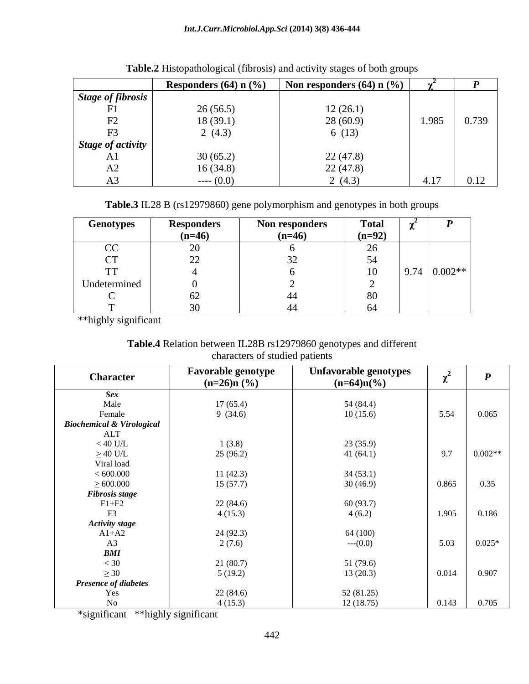|                          | Responders $(64)$ n $(\%)$ | Non responders $(64)$ n $(\%)$ |                      |       |
|--------------------------|----------------------------|--------------------------------|----------------------|-------|
| Stage of fibrosis        |                            |                                |                      |       |
| T34                      | 26(56.5)                   | 12(26.1)                       |                      |       |
| $\Gamma$<br>$\mathbf{1}$ | 18(39.1)                   | 28(60.9)                       | 1.985                | 0.739 |
| $\Gamma$                 | 2(4.3)                     | 6(13)                          |                      |       |
| <b>Stage of activity</b> |                            |                                |                      |       |
| $\cdots$                 | 30(65.2)                   | 22(47.8)                       |                      |       |
| $\mathbf{L}$             | 16(34.8)                   | 22(47.8)                       |                      |       |
| <u> ເ າ ບ</u>            | $--- (0.0)$                | 2 $(4.3)$                      | $\Lambda$ 17<br>1.11 | 0.12  |

**Table.2** Histopathological (fibrosis) and activity stages of both groups

**Table.3** IL28 B (rs12979860) gene polymorphism and genotypes in both groups

| Genotypes            | Responders                           | $- -$<br>Non responders | <b>Total</b>             | --<br>$\sim$        |
|----------------------|--------------------------------------|-------------------------|--------------------------|---------------------|
|                      | $(n=46)$                             | $(n=46)$                | $(n=92)$                 |                     |
| $\Gamma$<br><u>U</u> | $\sim$ $\sim$                        |                         | $\sim$<br>$\angle U$     |                     |
| $\sim$               | $\Omega$<br>$\overline{\phantom{a}}$ | $\sim$ $\sim$           | 54                       |                     |
| TTT<br>$\mathbf{r}$  |                                      |                         | 1 <sub>0</sub><br>$\sim$ | $9.74 \mid 0.002**$ |
| Undetermined         |                                      |                         |                          |                     |
| $\sim$               |                                      |                         | 80                       |                     |
|                      | $\sim$ $\sim$                        |                         | 61                       |                     |

\*\*highly significant

**Table.4** Relation between IL28B rs12979860 genotypes and different characters of studied patients

| <b>Character</b>                     | <b>Favorable genotype</b><br>$(n=26)$ n (%) | Unfavorable genotypes<br>$(n=64)n(\frac{9}{6})$ | $\chi^2$ |           |
|--------------------------------------|---------------------------------------------|-------------------------------------------------|----------|-----------|
| <b>Sex</b>                           |                                             |                                                 |          |           |
| Male                                 | 17(65.4)                                    | 54 (84.4)                                       |          |           |
| Female                               | 9(34.6)                                     | 10(15.6)                                        | 5.54     | 0.065     |
| <b>Biochemical &amp; Virological</b> |                                             |                                                 |          |           |
| ALT                                  |                                             |                                                 |          |           |
| $< 40$ U/L                           | 1(3.8)                                      | 23(35.9)                                        |          |           |
| $\geq$ 40 U/L                        | 25(96.2)                                    | 41(64.1)                                        | 9.7      | $0.002**$ |
| Viral load                           |                                             |                                                 |          |           |
| < 600.000                            | 11(42.3)                                    | 34(53.1)                                        |          |           |
| $\geq 600.000$                       | 15(57.7)                                    | 30(46.9)                                        | 0.865    | 0.35      |
| <b>Fibrosis stage</b>                |                                             |                                                 |          |           |
| $F1+F2$                              | 22(84.6)                                    | 60 (93.7)                                       |          |           |
| F <sub>3</sub>                       | 4(15.3)                                     | 4(6.2)                                          | 1.905    | 0.186     |
| <b>Activity stage</b>                |                                             |                                                 |          |           |
| $A1+A2$                              | 24 (92.3)                                   | 64 (100)                                        |          |           |
| A3                                   | 2(7.6)                                      | $--(0.0)$                                       | 5.03     | $0.025*$  |
| BMI                                  |                                             |                                                 |          |           |
| $< 30$                               | 21 (80.7)                                   | 51 (79.6)                                       |          |           |
| $\geq 30$                            | 5(19.2)                                     | 13(20.3)                                        | 0.014    | 0.907     |
| Presence of diabetes                 |                                             |                                                 |          |           |
| Yes                                  | 22(84.6)                                    | 52 (81.25)                                      |          |           |
| N <sub>o</sub>                       | 4(15.3)                                     | 12(18.75)                                       | 0.143    | 0.705     |

\*significant \*\*highly significant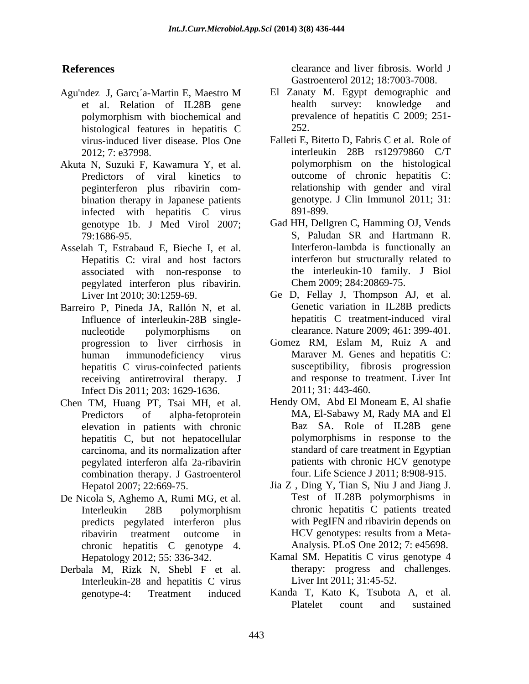- Agu'ndez J, Garcı´a-Martin E, Maestro M El Zanaty M. Egypt demographic and histological features in hepatitis C virus-induced liver disease. Plos One
- Akuta N, Suzuki F, Kawamura Y, et al. peginterferon plus ribavirin com bination therapy in Japanese patients genotype infected with henatitis C virus 891-899. infected with hepatitis C virus
- Asselah T, Estrabaud E, Bieche I, et al. Hepatitis C: viral and host factors associated with non-response to pegylated interferon plus ribavirin.
- Barreiro P, Pineda JA, Rallón N, et al. nucleotide polymorphisms on clearance. Nature 2009; 461: 399-401. hepatitis C virus-coinfected patients receiving antiretroviral therapy. J Infect Dis 2011; 203: 1629-1636.
- Chen TM, Huang PT, Tsai MH, et al. Hendy OM, Abd El Moneam E, Al shafie elevation in patients with chronic hepatitis C, but not hepatocellular carcinoma, and its normalization after combination therapy. J Gastroenterol
- De Nicola S, Aghemo A, Rumi MG, et al. predicts pegylated interferon plus chronic hepatitis C genotype 4.
- Derbala M, Rizk N, Shebl F et al. Interleukin-28 and hepatitis C virus

**References** clearance and liver fibrosis. World J Gastroenterol 2012; 18:7003-7008.

- et al. Relation of IL28B gene polymorphism with biochemical and prevalence of hepatitis C 2009; 251-El Zanaty M. Egypt demographic and health survey: knowledge and prevalence of hepatitis C 2009; 251- 252.
- 2012; 7: e37998. interleukin 28B rs12979860 C/T<br>a N. Suzuki F. Kawamura Y. et al. bolymorphism on the histological Predictors of viral kinetics to outcome of chronic hepatitis C: Falleti E, Bitetto D, Fabris C et al. Role of interleukin 28B rs12979860 C/T polymorphism on the histological relationship with gender and viral genotype. J Clin Immunol 2011; 31: 891-899.
- genotype 1b. J Med Virol 2007; Gad HH, Dellgren C, Hamming OJ, Vends 79:1686-95.<br>
Iah T. Estrabaud E. Bieche I. et al.<br>
Iah T. Estrabaud E. Bieche I. et al.<br>
Interferon-lambda is functionally an S, Paludan SR and Hartmann R. Interferon-lambda is functionally an interferon but structurally related to the interleukin-10 family. J Biol Chem 2009; 284:20869-75.
- Liver Int 2010; 30:1259-69. Ge D, Fellay J, Thompson AJ, et al. Influence of interleukin-28B single-<br>hepatitis C treatment-induced viral Genetic variation in IL28B predicts hepatitis C treatment-induced viral
- progression to liver cirrhosis in Gomez RM, Eslam M, Ruiz A and human immunodeficiency virus Maraver M. Genes and hepatitis C: susceptibility, fibrosis progression and response to treatment. Liver Int 2011; 31: 443-460.
- Predictors of alpha-fetoprotein MA, El-Sabawy M, Rady MA and El pegylated interferon alfa 2a-ribavirin patients with chronic HCV genotype MA, El-Sabawy M, Rady MA and El Baz SA. Role of IL28B gene polymorphisms in response to the standard of care treatment in Egyptian four. Life Science J 2011; 8:908-915.
- Hepatol 2007; 22:669-75. Jia Z , Ding Y, Tian S, Niu J and Jiang J. Interleukin 28B polymorphism ribavirin treatment outcome in HCV genotypes: results from a Meta-Test of IL28B polymorphisms in chronic hepatitis C patients treated with PegIFN and ribavirin depends on HCV genotypes: results from a Meta- Analysis. PLoS One 2012; 7: e45698.
- Hepatology 2012; 55: 336-342. Kamal SM. Hepatitis C virus genotype 4 therapy: progress and challenges. Liver Int 2011; 31:45-52.
- genotype-4: Treatment induced Kanda T, Kato K, Tsubota A, et al. Platelet count and sustained